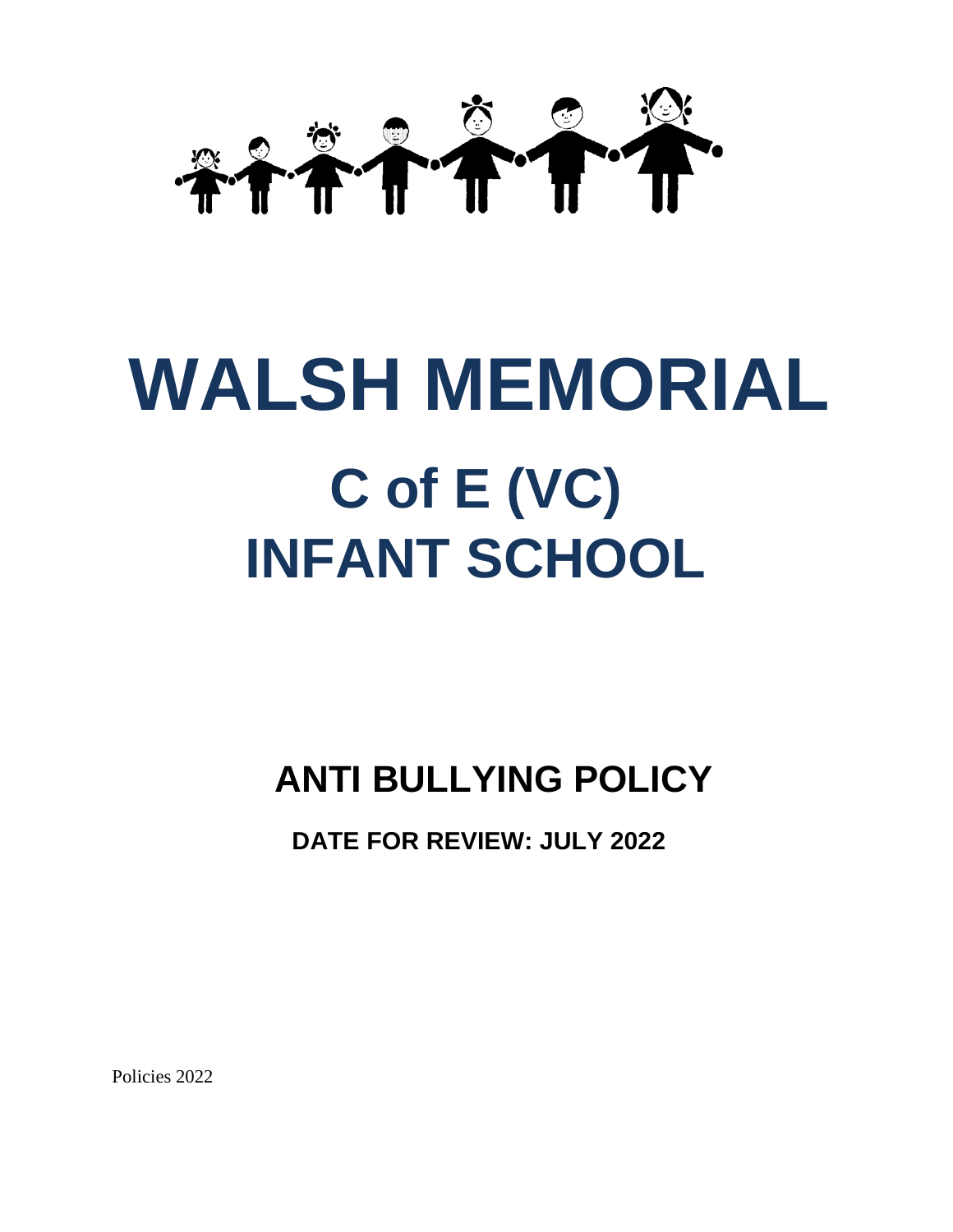

# **WALSH MEMORIAL C of E (VC) INFANT SCHOOL**

# **ANTI BULLYING POLICY**

 **DATE FOR REVIEW: JULY 2022**

Policies 2022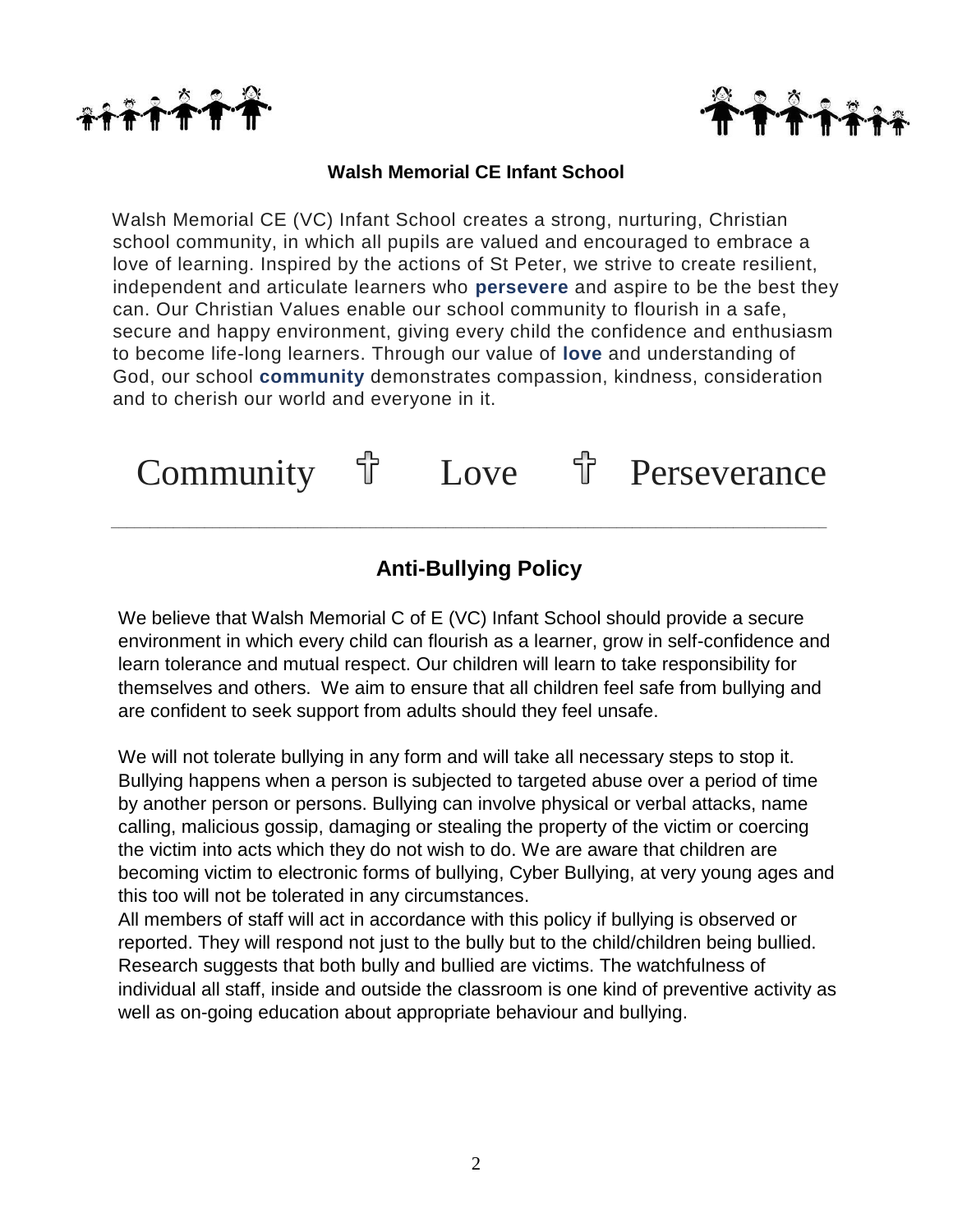



#### **Walsh Memorial CE Infant School**

Walsh Memorial CE (VC) Infant School creates a strong, nurturing, Christian school community, in which all pupils are valued and encouraged to embrace a love of learning. Inspired by the actions of St Peter, we strive to create resilient, independent and articulate learners who **persevere** and aspire to be the best they can. Our Christian Values enable our school community to flourish in a safe, secure and happy environment, giving every child the confidence and enthusiasm to become life-long learners. Through our value of **love** and understanding of God, our school **community** demonstrates compassion, kindness, consideration and to cherish our world and everyone in it.

Community <sup>†</sup> Love <sup>†</sup> Perseverance

*\_\_\_\_\_\_\_\_\_\_\_\_\_\_\_\_\_\_\_\_\_\_\_\_\_\_\_\_\_\_\_\_\_\_\_\_\_\_\_\_\_\_\_\_\_\_\_\_\_\_\_\_\_\_\_\_\_\_\_\_\_\_\_\_\_\_\_\_\_\_\_\_\_\_\_\_\_\_\_\_\_\_\_\_\_\_\_\_\_\_\_\_*

# **Anti-Bullying Policy**

We believe that Walsh Memorial C of E (VC) Infant School should provide a secure environment in which every child can flourish as a learner, grow in self-confidence and learn tolerance and mutual respect. Our children will learn to take responsibility for themselves and others. We aim to ensure that all children feel safe from bullying and are confident to seek support from adults should they feel unsafe.

We will not tolerate bullying in any form and will take all necessary steps to stop it. Bullying happens when a person is subjected to targeted abuse over a period of time by another person or persons. Bullying can involve physical or verbal attacks, name calling, malicious gossip, damaging or stealing the property of the victim or coercing the victim into acts which they do not wish to do. We are aware that children are becoming victim to electronic forms of bullying, Cyber Bullying, at very young ages and this too will not be tolerated in any circumstances.

All members of staff will act in accordance with this policy if bullying is observed or reported. They will respond not just to the bully but to the child/children being bullied. Research suggests that both bully and bullied are victims. The watchfulness of individual all staff, inside and outside the classroom is one kind of preventive activity as well as on-going education about appropriate behaviour and bullying.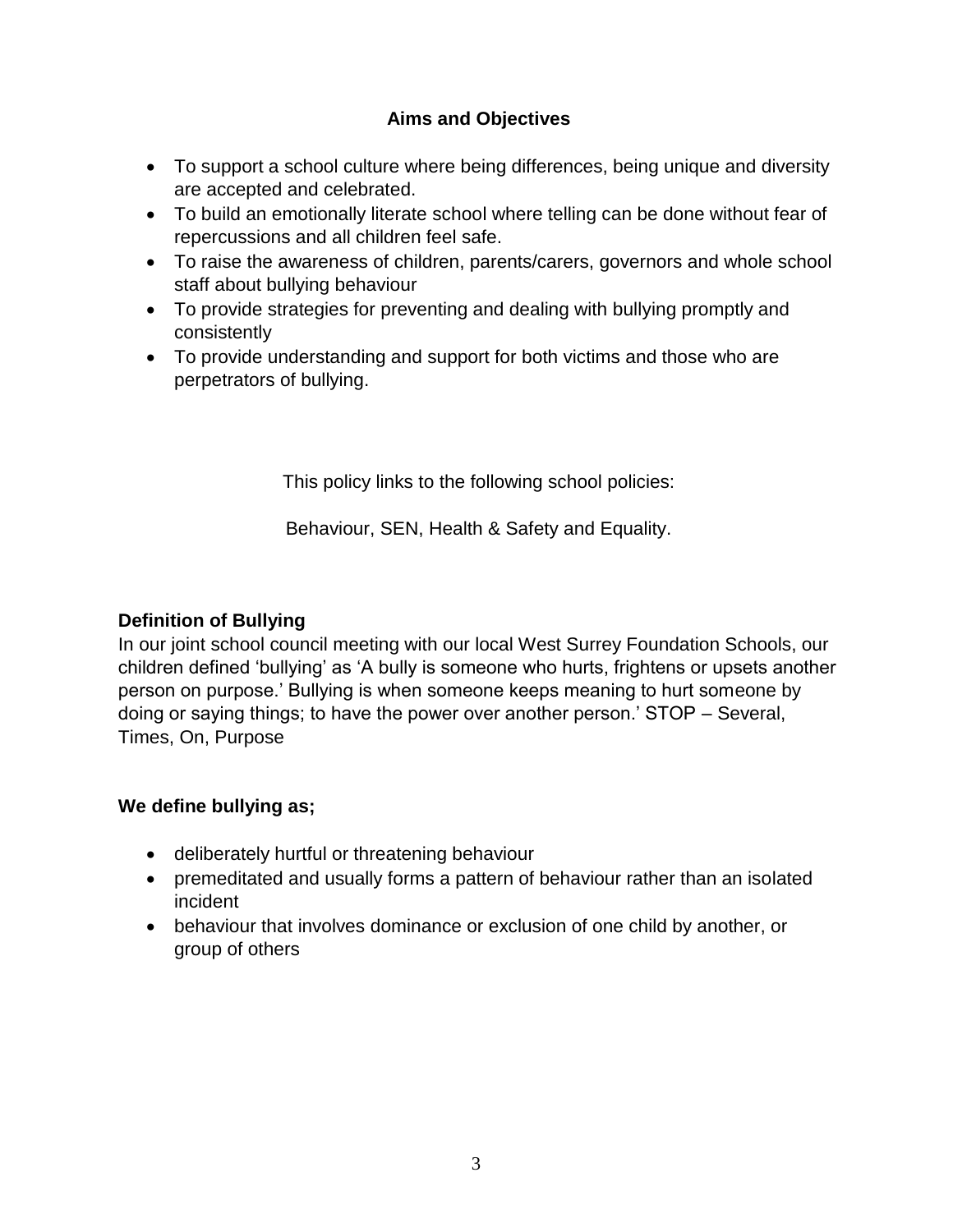# **Aims and Objectives**

- To support a school culture where being differences, being unique and diversity are accepted and celebrated.
- To build an emotionally literate school where telling can be done without fear of repercussions and all children feel safe.
- To raise the awareness of children, parents/carers, governors and whole school staff about bullying behaviour
- To provide strategies for preventing and dealing with bullying promptly and consistently
- To provide understanding and support for both victims and those who are perpetrators of bullying.

This policy links to the following school policies:

Behaviour, SEN, Health & Safety and Equality.

#### **Definition of Bullying**

In our joint school council meeting with our local West Surrey Foundation Schools, our children defined 'bullying' as 'A bully is someone who hurts, frightens or upsets another person on purpose.' Bullying is when someone keeps meaning to hurt someone by doing or saying things; to have the power over another person.' STOP – Several, Times, On, Purpose

#### **We define bullying as;**

- deliberately hurtful or threatening behaviour
- premeditated and usually forms a pattern of behaviour rather than an isolated incident
- behaviour that involves dominance or exclusion of one child by another, or group of others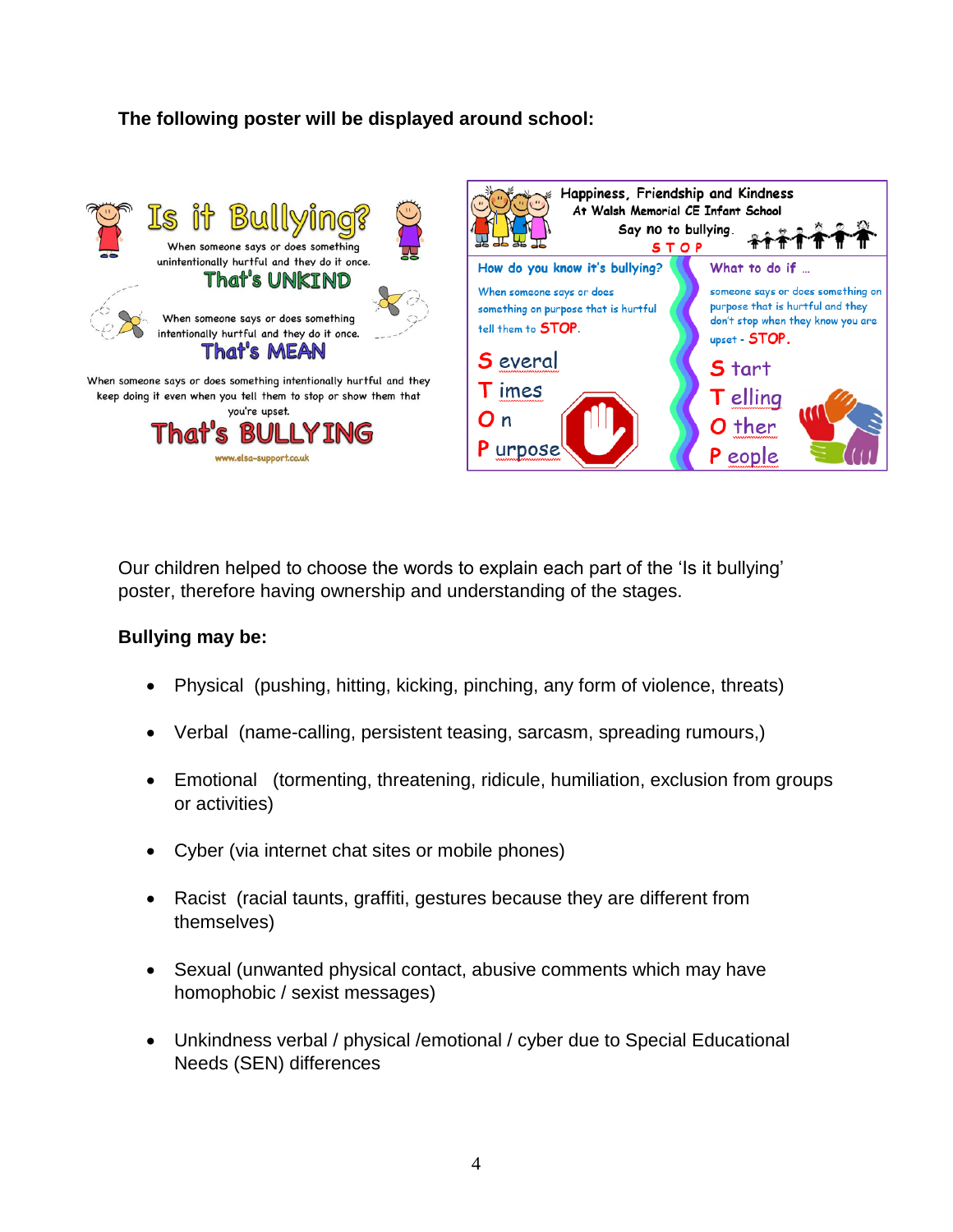# **The following poster will be displayed around school:**



Our children helped to choose the words to explain each part of the 'Is it bullying' poster, therefore having ownership and understanding of the stages.

#### **Bullying may be:**

- Physical (pushing, hitting, kicking, pinching, any form of violence, threats)
- Verbal (name-calling, persistent teasing, sarcasm, spreading rumours,)
- Emotional (tormenting, threatening, ridicule, humiliation, exclusion from groups or activities)
- Cyber (via internet chat sites or mobile phones)
- Racist (racial taunts, graffiti, gestures because they are different from themselves)
- Sexual (unwanted physical contact, abusive comments which may have homophobic / sexist messages)
- Unkindness verbal / physical /emotional / cyber due to Special Educational Needs (SEN) differences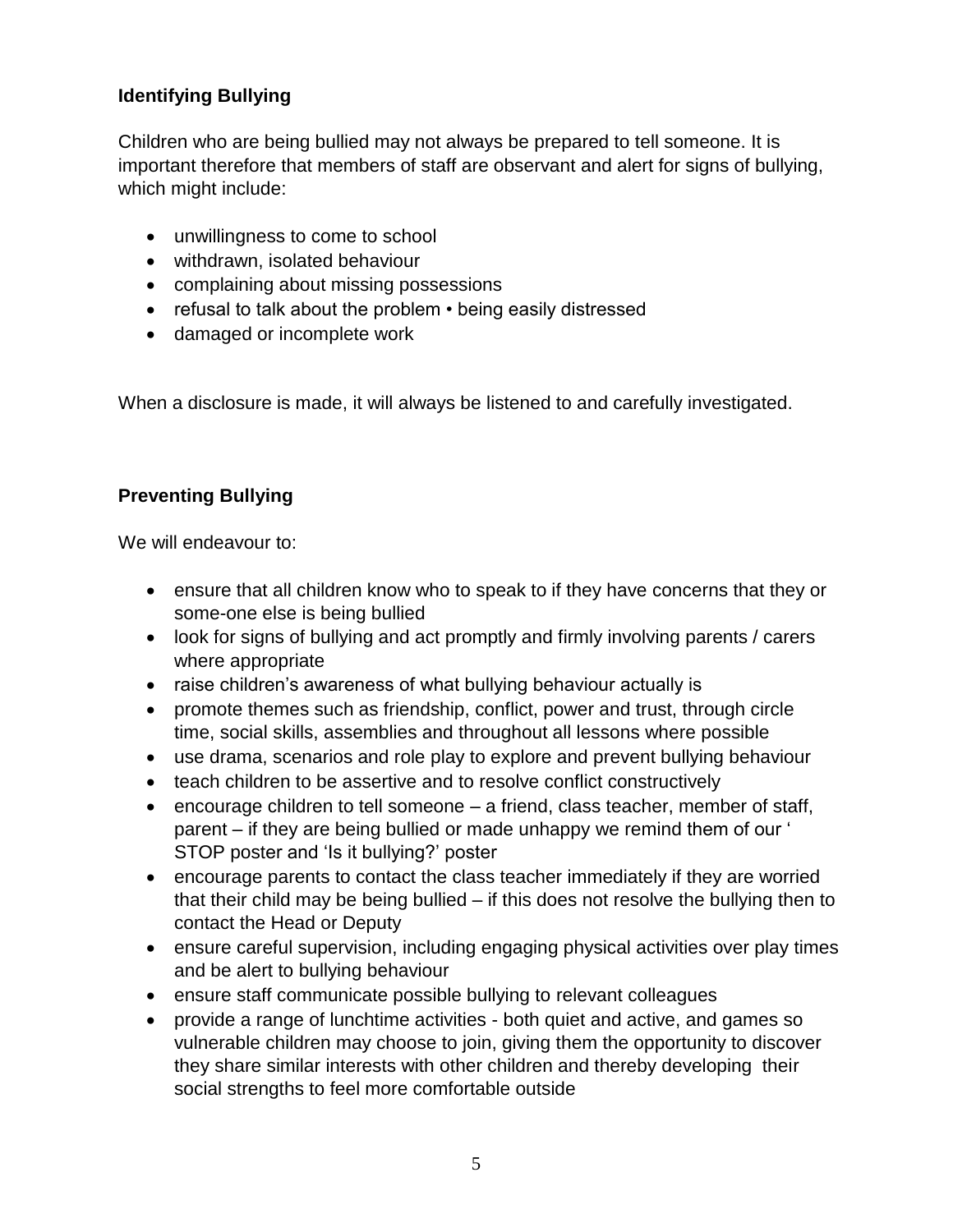# **Identifying Bullying**

Children who are being bullied may not always be prepared to tell someone. It is important therefore that members of staff are observant and alert for signs of bullying, which might include:

- unwillingness to come to school
- withdrawn, isolated behaviour
- complaining about missing possessions
- refusal to talk about the problem being easily distressed
- damaged or incomplete work

When a disclosure is made, it will always be listened to and carefully investigated.

### **Preventing Bullying**

We will endeavour to:

- ensure that all children know who to speak to if they have concerns that they or some-one else is being bullied
- look for signs of bullying and act promptly and firmly involving parents / carers where appropriate
- raise children's awareness of what bullying behaviour actually is
- promote themes such as friendship, conflict, power and trust, through circle time, social skills, assemblies and throughout all lessons where possible
- use drama, scenarios and role play to explore and prevent bullying behaviour
- teach children to be assertive and to resolve conflict constructively
- encourage children to tell someone a friend, class teacher, member of staff, parent – if they are being bullied or made unhappy we remind them of our ' STOP poster and 'Is it bullying?' poster
- encourage parents to contact the class teacher immediately if they are worried that their child may be being bullied – if this does not resolve the bullying then to contact the Head or Deputy
- ensure careful supervision, including engaging physical activities over play times and be alert to bullying behaviour
- ensure staff communicate possible bullying to relevant colleagues
- provide a range of lunchtime activities both quiet and active, and games so vulnerable children may choose to join, giving them the opportunity to discover they share similar interests with other children and thereby developing their social strengths to feel more comfortable outside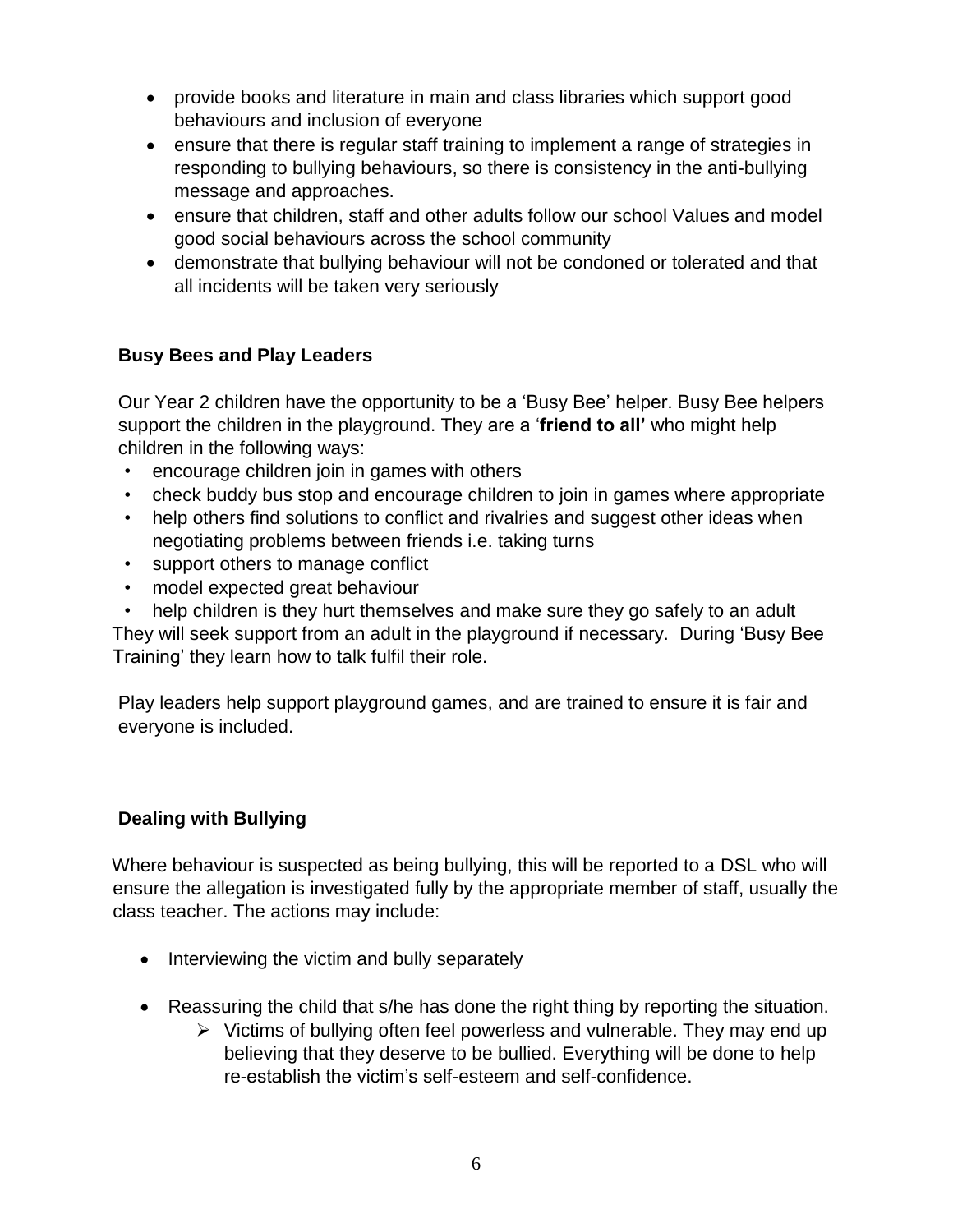- provide books and literature in main and class libraries which support good behaviours and inclusion of everyone
- ensure that there is regular staff training to implement a range of strategies in responding to bullying behaviours, so there is consistency in the anti-bullying message and approaches.
- ensure that children, staff and other adults follow our school Values and model good social behaviours across the school community
- demonstrate that bullying behaviour will not be condoned or tolerated and that all incidents will be taken very seriously

# **Busy Bees and Play Leaders**

Our Year 2 children have the opportunity to be a 'Busy Bee' helper. Busy Bee helpers support the children in the playground. They are a '**friend to all'** who might help children in the following ways:

- encourage children join in games with others
- check buddy bus stop and encourage children to join in games where appropriate
- help others find solutions to conflict and rivalries and suggest other ideas when negotiating problems between friends i.e. taking turns
- support others to manage conflict
- model expected great behaviour
- help children is they hurt themselves and make sure they go safely to an adult

They will seek support from an adult in the playground if necessary. During 'Busy Bee Training' they learn how to talk fulfil their role.

Play leaders help support playground games, and are trained to ensure it is fair and everyone is included.

# **Dealing with Bullying**

Where behaviour is suspected as being bullying, this will be reported to a DSL who will ensure the allegation is investigated fully by the appropriate member of staff, usually the class teacher. The actions may include:

- Interviewing the victim and bully separately
- Reassuring the child that s/he has done the right thing by reporting the situation.
	- $\triangleright$  Victims of bullying often feel powerless and vulnerable. They may end up believing that they deserve to be bullied. Everything will be done to help re-establish the victim's self-esteem and self-confidence.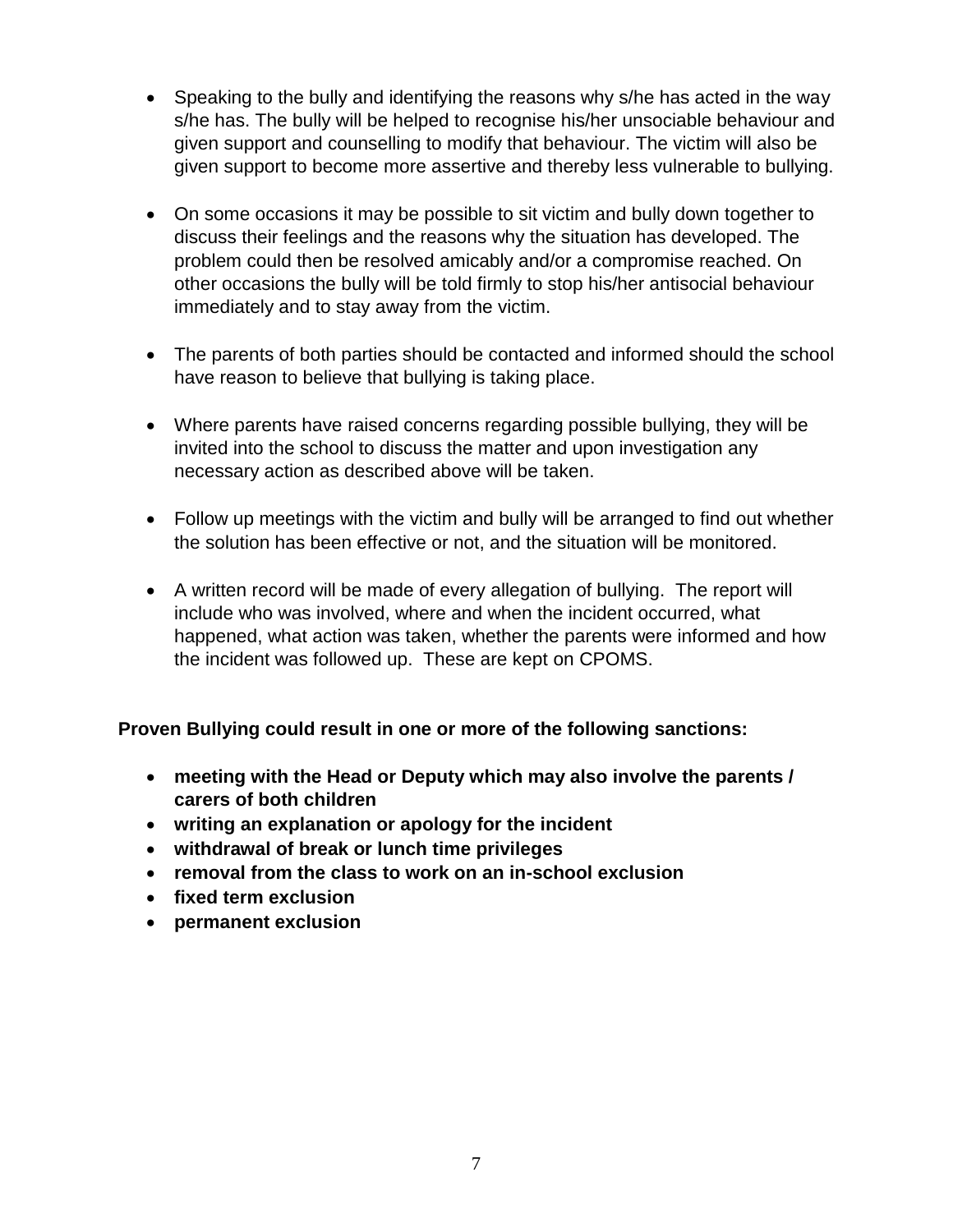- Speaking to the bully and identifying the reasons why s/he has acted in the way s/he has. The bully will be helped to recognise his/her unsociable behaviour and given support and counselling to modify that behaviour. The victim will also be given support to become more assertive and thereby less vulnerable to bullying.
- On some occasions it may be possible to sit victim and bully down together to discuss their feelings and the reasons why the situation has developed. The problem could then be resolved amicably and/or a compromise reached. On other occasions the bully will be told firmly to stop his/her antisocial behaviour immediately and to stay away from the victim.
- The parents of both parties should be contacted and informed should the school have reason to believe that bullying is taking place.
- Where parents have raised concerns regarding possible bullying, they will be invited into the school to discuss the matter and upon investigation any necessary action as described above will be taken.
- Follow up meetings with the victim and bully will be arranged to find out whether the solution has been effective or not, and the situation will be monitored.
- A written record will be made of every allegation of bullying. The report will include who was involved, where and when the incident occurred, what happened, what action was taken, whether the parents were informed and how the incident was followed up. These are kept on CPOMS.

**Proven Bullying could result in one or more of the following sanctions:** 

- **meeting with the Head or Deputy which may also involve the parents / carers of both children**
- **writing an explanation or apology for the incident**
- **withdrawal of break or lunch time privileges**
- **removal from the class to work on an in-school exclusion**
- **fixed term exclusion**
- **permanent exclusion**